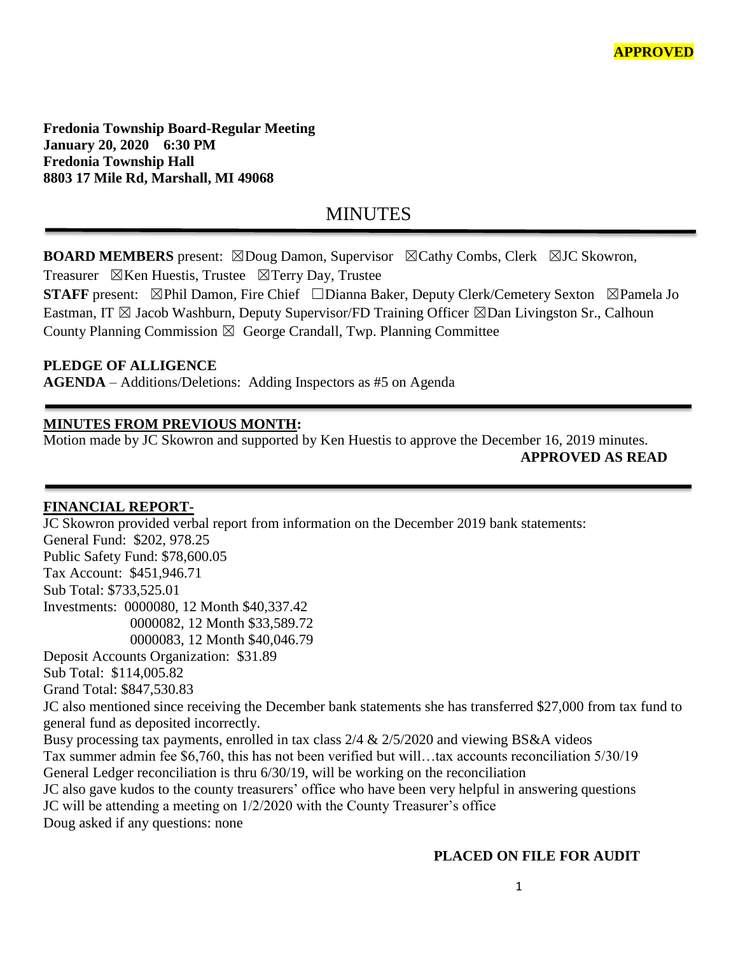**Fredonia Township Board-Regular Meeting January 20, 2020 6:30 PM Fredonia Township Hall 8803 17 Mile Rd, Marshall, MI 49068**

# MINUTES

**BOARD MEMBERS** present: ⊠Doug Damon, Supervisor ⊠Cathy Combs, Clerk ⊠JC Skowron,

Treasurer  $\boxtimes$ Ken Huestis, Trustee  $\boxtimes$ Terry Day, Trustee

**STAFF** present: ⊠Phil Damon, Fire Chief □Dianna Baker, Deputy Clerk/Cemetery Sexton ⊠Pamela Jo Eastman, IT  $\boxtimes$  Jacob Washburn, Deputy Supervisor/FD Training Officer  $\boxtimes$ Dan Livingston Sr., Calhoun County Planning Commission  $\boxtimes$  George Crandall, Twp. Planning Committee

#### **PLEDGE OF ALLIGENCE**

**AGENDA** – Additions/Deletions: Adding Inspectors as #5 on Agenda

#### **MINUTES FROM PREVIOUS MONTH:**

Motion made by JC Skowron and supported by Ken Huestis to approve the December 16, 2019 minutes. **APPROVED AS READ**

# **FINANCIAL REPORT-**

JC Skowron provided verbal report from information on the December 2019 bank statements: General Fund: \$202, 978.25 Public Safety Fund: \$78,600.05 Tax Account: \$451,946.71 Sub Total: \$733,525.01 Investments: 0000080, 12 Month \$40,337.42 0000082, 12 Month \$33,589.72 0000083, 12 Month \$40,046.79 Deposit Accounts Organization: \$31.89 Sub Total: \$114,005.82 Grand Total: \$847,530.83 JC also mentioned since receiving the December bank statements she has transferred \$27,000 from tax fund to general fund as deposited incorrectly. Busy processing tax payments, enrolled in tax class 2/4 & 2/5/2020 and viewing BS&A videos Tax summer admin fee \$6,760, this has not been verified but will…tax accounts reconciliation 5/30/19 General Ledger reconciliation is thru 6/30/19, will be working on the reconciliation JC also gave kudos to the county treasurers' office who have been very helpful in answering questions JC will be attending a meeting on 1/2/2020 with the County Treasurer's office Doug asked if any questions: none

#### **PLACED ON FILE FOR AUDIT**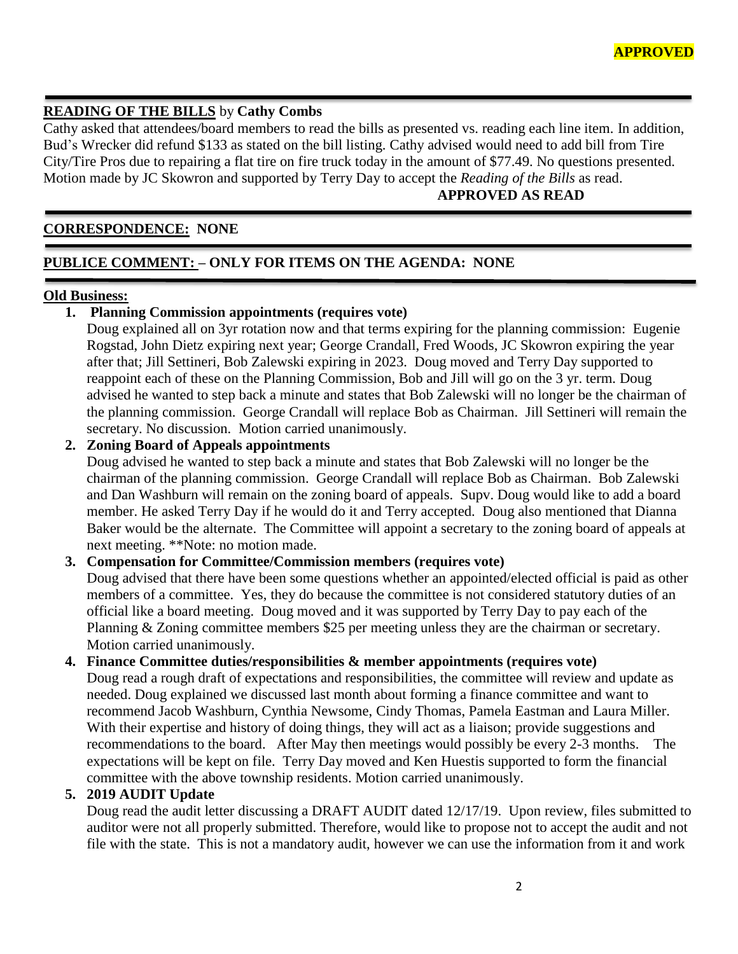#### **READING OF THE BILLS** by **Cathy Combs**

Cathy asked that attendees/board members to read the bills as presented vs. reading each line item. In addition, Bud's Wrecker did refund \$133 as stated on the bill listing. Cathy advised would need to add bill from Tire City/Tire Pros due to repairing a flat tire on fire truck today in the amount of \$77.49. No questions presented. Motion made by JC Skowron and supported by Terry Day to accept the *Reading of the Bills* as read.

# **APPROVED AS READ**

# **CORRESPONDENCE: NONE**

# **PUBLICE COMMENT: – ONLY FOR ITEMS ON THE AGENDA: NONE**

#### **Old Business:**

#### **1. Planning Commission appointments (requires vote)**

Doug explained all on 3yr rotation now and that terms expiring for the planning commission: Eugenie Rogstad, John Dietz expiring next year; George Crandall, Fred Woods, JC Skowron expiring the year after that; Jill Settineri, Bob Zalewski expiring in 2023. Doug moved and Terry Day supported to reappoint each of these on the Planning Commission, Bob and Jill will go on the 3 yr. term. Doug advised he wanted to step back a minute and states that Bob Zalewski will no longer be the chairman of the planning commission. George Crandall will replace Bob as Chairman. Jill Settineri will remain the secretary. No discussion. Motion carried unanimously.

#### **2. Zoning Board of Appeals appointments**

Doug advised he wanted to step back a minute and states that Bob Zalewski will no longer be the chairman of the planning commission. George Crandall will replace Bob as Chairman. Bob Zalewski and Dan Washburn will remain on the zoning board of appeals. Supv. Doug would like to add a board member. He asked Terry Day if he would do it and Terry accepted. Doug also mentioned that Dianna Baker would be the alternate. The Committee will appoint a secretary to the zoning board of appeals at next meeting. \*\*Note: no motion made.

#### **3. Compensation for Committee/Commission members (requires vote)**

Doug advised that there have been some questions whether an appointed/elected official is paid as other members of a committee. Yes, they do because the committee is not considered statutory duties of an official like a board meeting. Doug moved and it was supported by Terry Day to pay each of the Planning & Zoning committee members \$25 per meeting unless they are the chairman or secretary. Motion carried unanimously.

#### **4. Finance Committee duties/responsibilities & member appointments (requires vote)**

Doug read a rough draft of expectations and responsibilities, the committee will review and update as needed. Doug explained we discussed last month about forming a finance committee and want to recommend Jacob Washburn, Cynthia Newsome, Cindy Thomas, Pamela Eastman and Laura Miller. With their expertise and history of doing things, they will act as a liaison; provide suggestions and recommendations to the board. After May then meetings would possibly be every 2-3 months. The expectations will be kept on file. Terry Day moved and Ken Huestis supported to form the financial committee with the above township residents. Motion carried unanimously.

#### **5. 2019 AUDIT Update**

Doug read the audit letter discussing a DRAFT AUDIT dated 12/17/19. Upon review, files submitted to auditor were not all properly submitted. Therefore, would like to propose not to accept the audit and not file with the state. This is not a mandatory audit, however we can use the information from it and work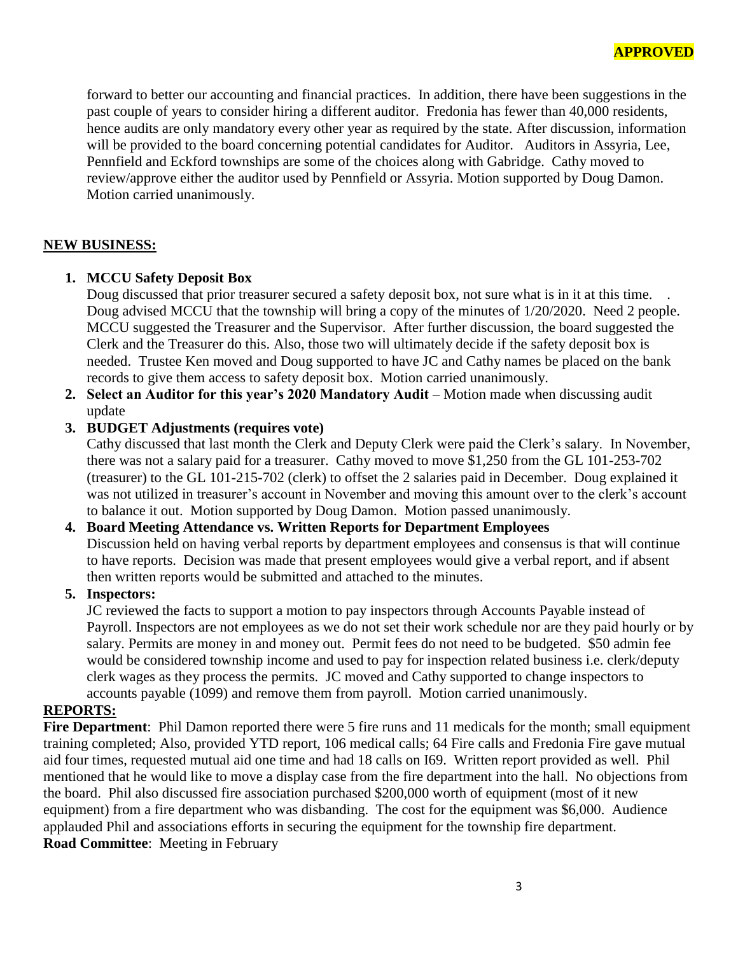forward to better our accounting and financial practices. In addition, there have been suggestions in the past couple of years to consider hiring a different auditor. Fredonia has fewer than 40,000 residents, hence audits are only mandatory every other year as required by the state. After discussion, information will be provided to the board concerning potential candidates for Auditor. Auditors in Assyria, Lee, Pennfield and Eckford townships are some of the choices along with Gabridge. Cathy moved to review/approve either the auditor used by Pennfield or Assyria. Motion supported by Doug Damon. Motion carried unanimously.

#### **NEW BUSINESS:**

#### **1. MCCU Safety Deposit Box**

Doug discussed that prior treasurer secured a safety deposit box, not sure what is in it at this time. Doug advised MCCU that the township will bring a copy of the minutes of 1/20/2020. Need 2 people. MCCU suggested the Treasurer and the Supervisor. After further discussion, the board suggested the Clerk and the Treasurer do this. Also, those two will ultimately decide if the safety deposit box is needed. Trustee Ken moved and Doug supported to have JC and Cathy names be placed on the bank records to give them access to safety deposit box. Motion carried unanimously.

**2. Select an Auditor for this year's 2020 Mandatory Audit** – Motion made when discussing audit update

#### **3. BUDGET Adjustments (requires vote)**

Cathy discussed that last month the Clerk and Deputy Clerk were paid the Clerk's salary. In November, there was not a salary paid for a treasurer. Cathy moved to move \$1,250 from the GL 101-253-702 (treasurer) to the GL 101-215-702 (clerk) to offset the 2 salaries paid in December. Doug explained it was not utilized in treasurer's account in November and moving this amount over to the clerk's account to balance it out. Motion supported by Doug Damon. Motion passed unanimously.

# **4. Board Meeting Attendance vs. Written Reports for Department Employees** Discussion held on having verbal reports by department employees and consensus is that will continue

to have reports. Decision was made that present employees would give a verbal report, and if absent then written reports would be submitted and attached to the minutes.

#### **5. Inspectors:**

JC reviewed the facts to support a motion to pay inspectors through Accounts Payable instead of Payroll. Inspectors are not employees as we do not set their work schedule nor are they paid hourly or by salary. Permits are money in and money out. Permit fees do not need to be budgeted. \$50 admin fee would be considered township income and used to pay for inspection related business i.e. clerk/deputy clerk wages as they process the permits. JC moved and Cathy supported to change inspectors to accounts payable (1099) and remove them from payroll. Motion carried unanimously.

#### **REPORTS:**

**Fire Department**: Phil Damon reported there were 5 fire runs and 11 medicals for the month; small equipment training completed; Also, provided YTD report, 106 medical calls; 64 Fire calls and Fredonia Fire gave mutual aid four times, requested mutual aid one time and had 18 calls on I69. Written report provided as well. Phil mentioned that he would like to move a display case from the fire department into the hall. No objections from the board. Phil also discussed fire association purchased \$200,000 worth of equipment (most of it new equipment) from a fire department who was disbanding. The cost for the equipment was \$6,000. Audience applauded Phil and associations efforts in securing the equipment for the township fire department. **Road Committee**: Meeting in February